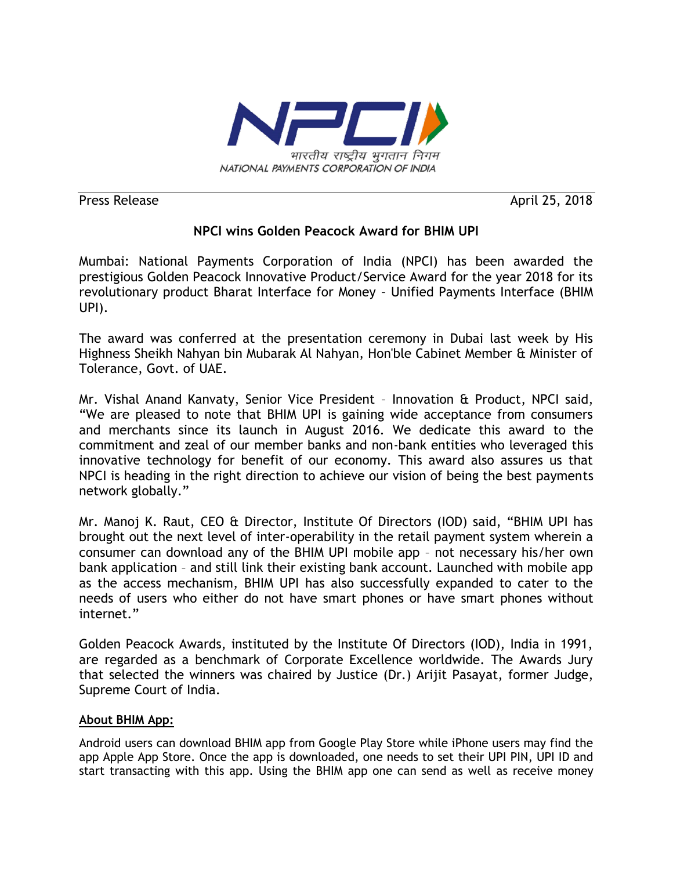

Press Release April 25, 2018

## **NPCI wins Golden Peacock Award for BHIM UPI**

Mumbai: National Payments Corporation of India (NPCI) has been awarded the prestigious Golden Peacock Innovative Product/Service Award for the year 2018 for its revolutionary product Bharat Interface for Money – Unified Payments Interface (BHIM UPI).

The award was conferred at the presentation ceremony in Dubai last week by His Highness Sheikh Nahyan bin Mubarak Al Nahyan, Hon'ble Cabinet Member & Minister of Tolerance, Govt. of UAE.

Mr. Vishal Anand Kanvaty, Senior Vice President – Innovation & Product, NPCI said, "We are pleased to note that BHIM UPI is gaining wide acceptance from consumers and merchants since its launch in August 2016. We dedicate this award to the commitment and zeal of our member banks and non-bank entities who leveraged this innovative technology for benefit of our economy. This award also assures us that NPCI is heading in the right direction to achieve our vision of being the best payments network globally."

Mr. Manoj K. Raut, CEO & Director, Institute Of Directors (IOD) said, "BHIM UPI has brought out the next level of inter-operability in the retail payment system wherein a consumer can download any of the BHIM UPI mobile app – not necessary his/her own bank application – and still link their existing bank account. Launched with mobile app as the access mechanism, BHIM UPI has also successfully expanded to cater to the needs of users who either do not have smart phones or have smart phones without internet."

Golden Peacock Awards, instituted by the Institute Of Directors (IOD), India in 1991, are regarded as a benchmark of Corporate Excellence worldwide. The Awards Jury that selected the winners was chaired by Justice (Dr.) Arijit Pasayat, former Judge, Supreme Court of India.

## **About BHIM App:**

Android users can download BHIM app from Google Play Store while iPhone users may find the app Apple App Store. Once the app is downloaded, one needs to set their UPI PIN, UPI ID and start transacting with this app. Using the BHIM app one can send as well as receive money